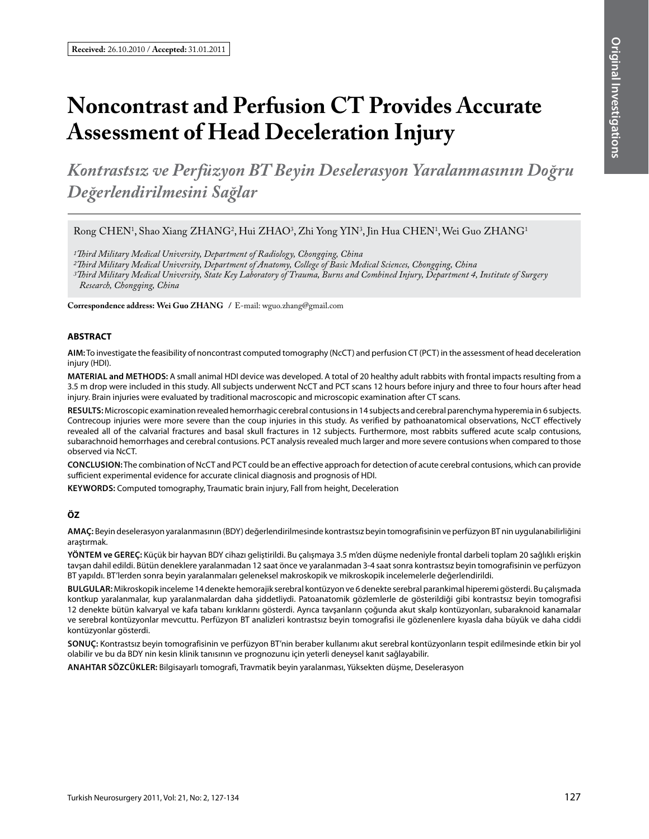# **Noncontrast and Perfusion CT Provides Accurate Assessment of Head Deceleration Injury**

*Kontrastsız ve Perfüzyon BT Beyin Deselerasyon Yaralanmasının Doğru Değerlendirilmesini Sağlar*

Rong CHEN<sup>1</sup>, Shao Xiang ZHANG<sup>2</sup>, Hui ZHAO<sup>3</sup>, Zhi Yong YIN<sup>3</sup>, Jin Hua CHEN<sup>1</sup>, Wei Guo ZHANG<sup>1</sup>

*1Third Military Medical University, Department of Radiology, Chongqing, China*

*2Third Military Medical University, Department of Anatomy, College of Basic Medical Sciences, Chongqing, China*

*3Third Military Medical University, State Key Laboratory of Trauma, Burns and Combined Injury, Department 4, Institute of Surgery Research, Chongqing, China*

**Correspondence address: Wei Guo Zhang /** E-mail: wguo.zhang@gmail.com

#### **ABSTRACT**

**AIm:** To investigate the feasibility of noncontrast computed tomography (NcCT) and perfusion CT (PCT) in the assessment of head deceleration injury (HDI).

**MaterIal and Methods:** A small animal HDI device was developed. A total of 20 healthy adult rabbits with frontal impacts resulting from a 3.5 m drop were included in this study. All subjects underwent NcCT and PCT scans 12 hours before injury and three to four hours after head injury. Brain injuries were evaluated by traditional macroscopic and microscopic examination after CT scans.

**Results:** Microscopic examination revealed hemorrhagic cerebral contusions in 14 subjects and cerebral parenchyma hyperemia in 6 subjects. Contrecoup injuries were more severe than the coup injuries in this study. As verified by pathoanatomical observations, NcCT effectively revealed all of the calvarial fractures and basal skull fractures in 12 subjects. Furthermore, most rabbits suffered acute scalp contusions, subarachnoid hemorrhages and cerebral contusions. PCT analysis revealed much larger and more severe contusions when compared to those observed via NcCT.

**ConclusIon:** The combination of NcCT and PCT could be an effective approach for detection of acute cerebral contusions, which can provide sufficient experimental evidence for accurate clinical diagnosis and prognosis of HDI.

KEYWORDS: Computed tomography, Traumatic brain injury, Fall from height, Deceleration

#### **ÖZ**

**AMAÇ:** Beyin deselerasyon yaralanmasının (BDY) değerlendirilmesinde kontrastsız beyin tomografisinin ve perfüzyon BT nin uygulanabilirliğini araştırmak.

**YÖNTEM ve GEREÇ:** Küçük bir hayvan BDY cihazı geliştirildi. Bu çalışmaya 3.5 m'den düşme nedeniyle frontal darbeli toplam 20 sağlıklı erişkin tavşan dahil edildi. Bütün deneklere yaralanmadan 12 saat önce ve yaralanmadan 3-4 saat sonra kontrastsız beyin tomografisinin ve perfüzyon BT yapıldı. BT'lerden sonra beyin yaralanmaları geleneksel makroskopik ve mikroskopik incelemelerle değerlendirildi.

**BULGULAR:** Mikroskopik inceleme 14 denekte hemorajik serebral kontüzyon ve 6 denekte serebral parankimal hiperemi gösterdi. Bu çalışmada kontkup yaralanmalar, kup yaralanmalardan daha şiddetliydi. Patoanatomik gözlemlerle de gösterildiği gibi kontrastsız beyin tomografisi 12 denekte bütün kalvaryal ve kafa tabanı kırıklarını gösterdi. Ayrıca tavşanların çoğunda akut skalp kontüzyonları, subaraknoid kanamalar ve serebral kontüzyonlar mevcuttu. Perfüzyon BT analizleri kontrastsız beyin tomografisi ile gözlenenlere kıyasla daha büyük ve daha ciddi kontüzyonlar gösterdi.

**SONUÇ:** Kontrastsız beyin tomografisinin ve perfüzyon BT'nin beraber kullanımı akut serebral kontüzyonların tespit edilmesinde etkin bir yol olabilir ve bu da BDY nin kesin klinik tanısının ve prognozunu için yeterli deneysel kanıt sağlayabilir.

**ANAHTAR SÖZCÜKLER:** Bilgisayarlı tomografi, Travmatik beyin yaralanması, Yüksekten düşme, Deselerasyon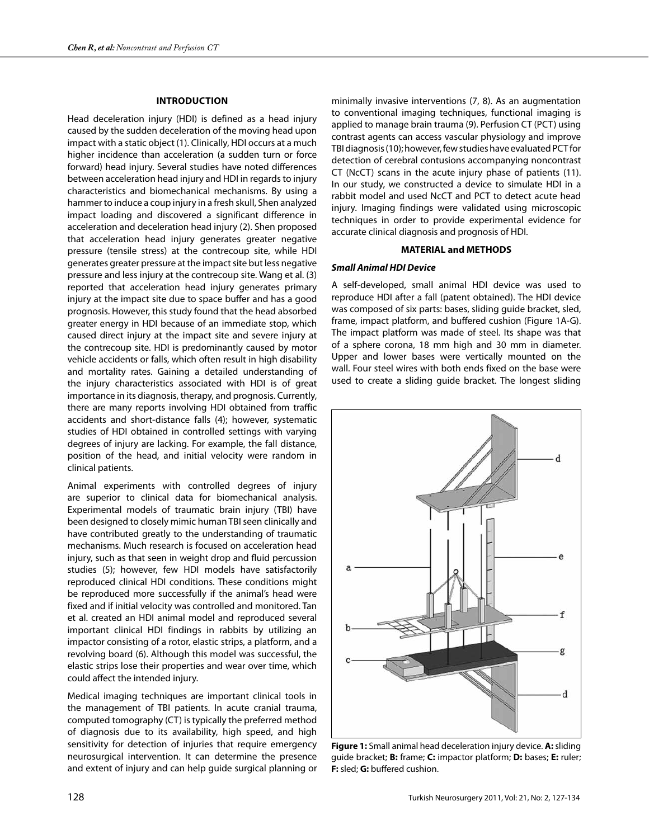## **IntroductIon**

Head deceleration injury (HDI) is defined as a head injury caused by the sudden deceleration of the moving head upon impact with a static object (1). Clinically, HDI occurs at a much higher incidence than acceleration (a sudden turn or force forward) head injury. Several studies have noted differences between acceleration head injury and HDI in regards to injury characteristics and biomechanical mechanisms. By using a hammer to induce a coup injury in a fresh skull, Shen analyzed impact loading and discovered a significant difference in acceleration and deceleration head injury (2). Shen proposed that acceleration head injury generates greater negative pressure (tensile stress) at the contrecoup site, while HDI generates greater pressure at the impact site but less negative pressure and less injury at the contrecoup site. Wang et al. (3) reported that acceleration head injury generates primary injury at the impact site due to space buffer and has a good prognosis. However, this study found that the head absorbed greater energy in HDI because of an immediate stop, which caused direct injury at the impact site and severe injury at the contrecoup site. HDI is predominantly caused by motor vehicle accidents or falls, which often result in high disability and mortality rates. Gaining a detailed understanding of the injury characteristics associated with HDI is of great importance in its diagnosis, therapy, and prognosis. Currently, there are many reports involving HDI obtained from traffic accidents and short-distance falls (4); however, systematic studies of HDI obtained in controlled settings with varying degrees of injury are lacking. For example, the fall distance, position of the head, and initial velocity were random in clinical patients.

Animal experiments with controlled degrees of injury are superior to clinical data for biomechanical analysis. Experimental models of traumatic brain injury (TBI) have been designed to closely mimic human TBI seen clinically and have contributed greatly to the understanding of traumatic mechanisms. Much research is focused on acceleration head injury, such as that seen in weight drop and fluid percussion studies (5); however, few HDI models have satisfactorily reproduced clinical HDI conditions. These conditions might be reproduced more successfully if the animal's head were fixed and if initial velocity was controlled and monitored. Tan et al. created an HDI animal model and reproduced several important clinical HDI findings in rabbits by utilizing an impactor consisting of a rotor, elastic strips, a platform, and a revolving board (6). Although this model was successful, the elastic strips lose their properties and wear over time, which could affect the intended injury.

Medical imaging techniques are important clinical tools in the management of TBI patients. In acute cranial trauma, computed tomography (CT) is typically the preferred method of diagnosis due to its availability, high speed, and high sensitivity for detection of injuries that require emergency neurosurgical intervention. It can determine the presence and extent of injury and can help guide surgical planning or

minimally invasive interventions (7, 8). As an augmentation to conventional imaging techniques, functional imaging is applied to manage brain trauma (9). Perfusion CT (PCT) using contrast agents can access vascular physiology and improve TBI diagnosis (10); however, few studies have evaluated PCT for detection of cerebral contusions accompanying noncontrast CT (NcCT) scans in the acute injury phase of patients (11). In our study, we constructed a device to simulate HDI in a rabbit model and used NcCT and PCT to detect acute head injury. Imaging findings were validated using microscopic techniques in order to provide experimental evidence for accurate clinical diagnosis and prognosis of HDI.

#### **MATERIAL and METHODS**

## *Small Animal HDI Device*

A self-developed, small animal HDI device was used to reproduce HDI after a fall (patent obtained). The HDI device was composed of six parts: bases, sliding guide bracket, sled, frame, impact platform, and buffered cushion (Figure 1A-G). The impact platform was made of steel. Its shape was that of a sphere corona, 18 mm high and 30 mm in diameter. Upper and lower bases were vertically mounted on the wall. Four steel wires with both ends fixed on the base were used to create a sliding guide bracket. The longest sliding



**Figure 1:** Small animal head deceleration injury device. **A:** sliding guide bracket; **B:** frame; **C:** impactor platform; **D:** bases; **E:** ruler; **F:** sled; **G:** buffered cushion.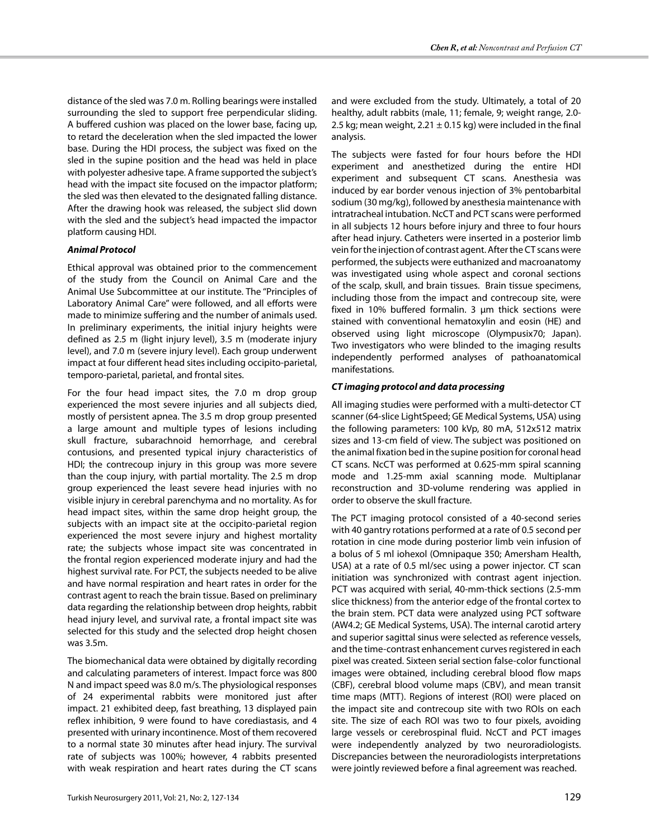distance of the sled was 7.0 m. Rolling bearings were installed surrounding the sled to support free perpendicular sliding. A buffered cushion was placed on the lower base, facing up, to retard the deceleration when the sled impacted the lower base. During the HDI process, the subject was fixed on the sled in the supine position and the head was held in place with polyester adhesive tape. A frame supported the subject's head with the impact site focused on the impactor platform; the sled was then elevated to the designated falling distance. After the drawing hook was released, the subject slid down with the sled and the subject's head impacted the impactor platform causing HDI.

## *Animal Protocol*

Ethical approval was obtained prior to the commencement of the study from the Council on Animal Care and the Animal Use Subcommittee at our institute. The ''Principles of Laboratory Animal Care'' were followed, and all efforts were made to minimize suffering and the number of animals used. In preliminary experiments, the initial injury heights were defined as 2.5 m (light injury level), 3.5 m (moderate injury level), and 7.0 m (severe injury level). Each group underwent impact at four different head sites including occipito-parietal, temporo-parietal, parietal, and frontal sites.

For the four head impact sites, the 7.0 m drop group experienced the most severe injuries and all subjects died, mostly of persistent apnea. The 3.5 m drop group presented a large amount and multiple types of lesions including skull fracture, subarachnoid hemorrhage, and cerebral contusions, and presented typical injury characteristics of HDI; the contrecoup injury in this group was more severe than the coup injury, with partial mortality. The 2.5 m drop group experienced the least severe head injuries with no visible injury in cerebral parenchyma and no mortality. As for head impact sites, within the same drop height group, the subjects with an impact site at the occipito-parietal region experienced the most severe injury and highest mortality rate; the subjects whose impact site was concentrated in the frontal region experienced moderate injury and had the highest survival rate. For PCT, the subjects needed to be alive and have normal respiration and heart rates in order for the contrast agent to reach the brain tissue. Based on preliminary data regarding the relationship between drop heights, rabbit head injury level, and survival rate, a frontal impact site was selected for this study and the selected drop height chosen was 3.5m.

The biomechanical data were obtained by digitally recording and calculating parameters of interest. Impact force was 800 N and impact speed was 8.0 m/s. The physiological responses of 24 experimental rabbits were monitored just after impact. 21 exhibited deep, fast breathing, 13 displayed pain reflex inhibition, 9 were found to have corediastasis, and 4 presented with urinary incontinence. Most of them recovered to a normal state 30 minutes after head injury. The survival rate of subjects was 100%; however, 4 rabbits presented with weak respiration and heart rates during the CT scans and were excluded from the study. Ultimately, a total of 20 healthy, adult rabbits (male, 11; female, 9; weight range, 2.0- 2.5 kg; mean weight,  $2.21 \pm 0.15$  kg) were included in the final analysis.

The subjects were fasted for four hours before the HDI experiment and anesthetized during the entire HDI experiment and subsequent CT scans. Anesthesia was induced by ear border venous injection of 3% pentobarbital sodium (30 mg/kg), followed by anesthesia maintenance with intratracheal intubation. NcCT and PCT scans were performed in all subjects 12 hours before injury and three to four hours after head injury. Catheters were inserted in a posterior limb vein for the injection of contrast agent. After the CT scans were performed, the subjects were euthanized and macroanatomy was investigated using whole aspect and coronal sections of the scalp, skull, and brain tissues. Brain tissue specimens, including those from the impact and contrecoup site, were fixed in 10% buffered formalin. 3 µm thick sections were stained with conventional hematoxylin and eosin (HE) and observed using light microscope (Olympusix70; Japan). Two investigators who were blinded to the imaging results independently performed analyses of pathoanatomical manifestations.

## *CT imaging protocol and data processing*

All imaging studies were performed with a multi-detector CT scanner (64-slice LightSpeed; GE Medical Systems, USA) using the following parameters: 100 kVp, 80 mA, 512x512 matrix sizes and 13-cm field of view. The subject was positioned on the animal fixation bed in the supine position for coronal head CT scans. NcCT was performed at 0.625-mm spiral scanning mode and 1.25-mm axial scanning mode. Multiplanar reconstruction and 3D-volume rendering was applied in order to observe the skull fracture.

The PCT imaging protocol consisted of a 40-second series with 40 gantry rotations performed at a rate of 0.5 second per rotation in cine mode during posterior limb vein infusion of a bolus of 5 ml iohexol (Omnipaque 350; Amersham Health, USA) at a rate of 0.5 ml/sec using a power injector. CT scan initiation was synchronized with contrast agent injection. PCT was acquired with serial, 40-mm-thick sections (2.5-mm slice thickness) from the anterior edge of the frontal cortex to the brain stem. PCT data were analyzed using PCT software (AW4.2; GE Medical Systems, USA). The internal carotid artery and superior sagittal sinus were selected as reference vessels, and the time-contrast enhancement curves registered in each pixel was created. Sixteen serial section false-color functional images were obtained, including cerebral blood flow maps (CBF), cerebral blood volume maps (CBV), and mean transit time maps (MTT). Regions of interest (ROI) were placed on the impact site and contrecoup site with two ROIs on each site. The size of each ROI was two to four pixels, avoiding large vessels or cerebrospinal fluid. NcCT and PCT images were independently analyzed by two neuroradiologists. Discrepancies between the neuroradiologists interpretations were jointly reviewed before a final agreement was reached.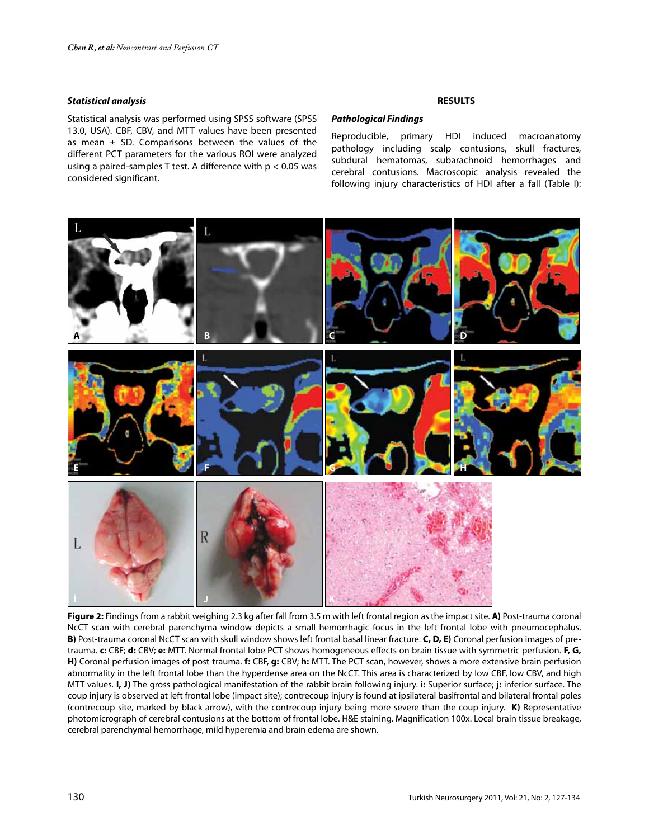## *Statistical analysis*

Statistical analysis was performed using SPSS software (SPSS 13.0, USA). CBF, CBV, and MTT values have been presented as mean  $\pm$  SD. Comparisons between the values of the different PCT parameters for the various ROI were analyzed using a paired-samples T test. A difference with p < 0.05 was considered significant.

## **RESULTS**

#### *Pathological Findings*

Reproducible, primary HDI induced macroanatomy pathology including scalp contusions, skull fractures, subdural hematomas, subarachnoid hemorrhages and cerebral contusions. Macroscopic analysis revealed the following injury characteristics of HDI after a fall (Table I):



**Figure 2:** Findings from a rabbit weighing 2.3 kg after fall from 3.5 m with left frontal region as the impact site. **A)** Post-trauma coronal NcCT scan with cerebral parenchyma window depicts a small hemorrhagic focus in the left frontal lobe with pneumocephalus. **B)** Post-trauma coronal NcCT scan with skull window shows left frontal basal linear fracture. **C, D, E)** Coronal perfusion images of pretrauma. **c:** CBF; **d:** CBV; **e:** MTT. Normal frontal lobe PCT shows homogeneous effects on brain tissue with symmetric perfusion. **F, G, H)** Coronal perfusion images of post-trauma. **f:** CBF, **g:** CBV; **h:** MTT. The PCT scan, however, shows a more extensive brain perfusion abnormality in the left frontal lobe than the hyperdense area on the NcCT. This area is characterized by low CBF, low CBV, and high MTT values. **I, J)** The gross pathological manifestation of the rabbit brain following injury. **i:** Superior surface; **j:** inferior surface. The coup injury is observed at left frontal lobe (impact site); contrecoup injury is found at ipsilateral basifrontal and bilateral frontal poles (contrecoup site, marked by black arrow), with the contrecoup injury being more severe than the coup injury. **K)** Representative photomicrograph of cerebral contusions at the bottom of frontal lobe. H&E staining. Magnification 100x. Local brain tissue breakage, cerebral parenchymal hemorrhage, mild hyperemia and brain edema are shown.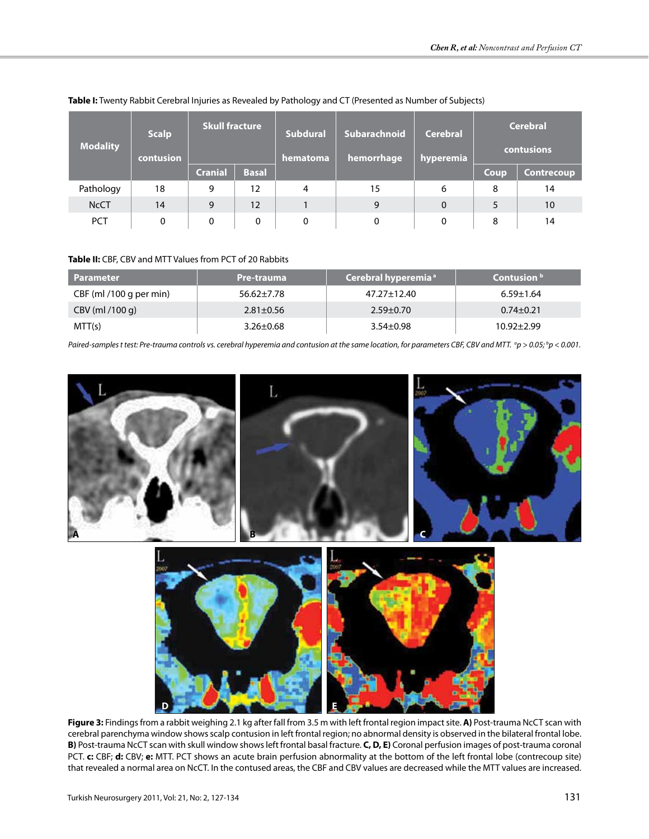| <b>Modality</b> | <b>Scalp</b><br>contusion | <b>Skull fracture</b> |              | Subdural<br>hematoma | Subarachnoid<br>hemorrhage | <b>Cerebral</b><br>hyperemia | <b>Cerebral</b><br>contusions |                   |
|-----------------|---------------------------|-----------------------|--------------|----------------------|----------------------------|------------------------------|-------------------------------|-------------------|
|                 |                           | <b>Cranial</b>        | <b>Basal</b> |                      |                            |                              | Coup                          | <b>Contrecoup</b> |
| Pathology       | 18                        | 9                     | 12           | 4                    | 15                         | 6                            | 8                             | 14                |
| <b>NcCT</b>     | 14                        | 9                     | 12           |                      | 9                          | $\mathbf 0$                  |                               | 10                |
| <b>PCT</b>      | 0                         | 0                     | 0            | 0                    | $\mathbf{0}$               | 0                            | 8                             | 14                |

**Table I:** Twenty Rabbit Cerebral Injuries as Revealed by Pathology and CT (Presented as Number of Subjects)

# **Table II:** CBF, CBV and MTT Values from PCT of 20 Rabbits

| <b>Parameter</b>        | Pre-trauma       | Cerebral hyperemia <sup>a</sup> | Contusion <sup>b</sup> |
|-------------------------|------------------|---------------------------------|------------------------|
| CBF (ml /100 g per min) | $56.62 \pm 7.78$ | 47.27±12.40                     | $6.59 \pm 1.64$        |
| CBV (ml /100 g)         | $2.81 \pm 0.56$  | $2.59 \pm 0.70$                 | $0.74 \pm 0.21$        |
| MTT(s)                  | $3.26 \pm 0.68$  | $3.54 \pm 0.98$                 | $10.92 \pm 2.99$       |

*Paired-samples t test: Pre-trauma controls vs. cerebral hyperemia and contusion at the same location, for parameters CBF, CBV and MTT.*  $^{\circ}$ *p > 0.05;*  $^{\circ}$ *p < 0.001.* 



**Figure 3:** Findings from a rabbit weighing 2.1 kg after fall from 3.5 m with left frontal region impact site. **A)** Post-trauma NcCT scan with cerebral parenchyma window shows scalp contusion in left frontal region; no abnormal density is observed in the bilateral frontal lobe. **B)** Post-trauma NcCT scan with skull window shows left frontal basal fracture. **C, D, E)** Coronal perfusion images of post-trauma coronal PCT. **c:** CBF; **d:** CBV; **e:** MTT. PCT shows an acute brain perfusion abnormality at the bottom of the left frontal lobe (contrecoup site) that revealed a normal area on NcCT. In the contused areas, the CBF and CBV values are decreased while the MTT values are increased.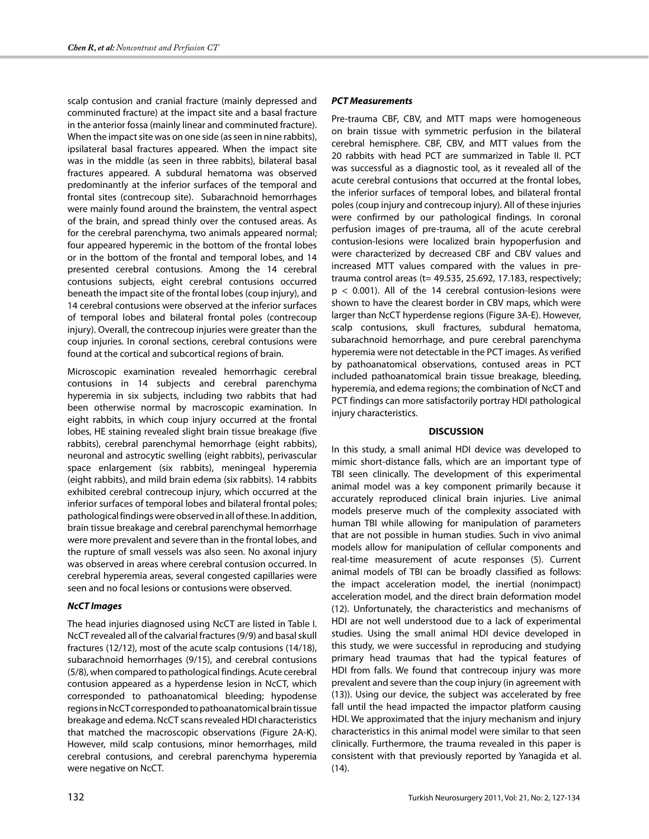scalp contusion and cranial fracture (mainly depressed and comminuted fracture) at the impact site and a basal fracture in the anterior fossa (mainly linear and comminuted fracture). When the impact site was on one side (as seen in nine rabbits), ipsilateral basal fractures appeared. When the impact site was in the middle (as seen in three rabbits), bilateral basal fractures appeared. A subdural hematoma was observed predominantly at the inferior surfaces of the temporal and frontal sites (contrecoup site). Subarachnoid hemorrhages were mainly found around the brainstem, the ventral aspect of the brain, and spread thinly over the contused areas. As for the cerebral parenchyma, two animals appeared normal; four appeared hyperemic in the bottom of the frontal lobes or in the bottom of the frontal and temporal lobes, and 14 presented cerebral contusions. Among the 14 cerebral contusions subjects, eight cerebral contusions occurred beneath the impact site of the frontal lobes (coup injury), and 14 cerebral contusions were observed at the inferior surfaces of temporal lobes and bilateral frontal poles (contrecoup injury). Overall, the contrecoup injuries were greater than the coup injuries. In coronal sections, cerebral contusions were found at the cortical and subcortical regions of brain.

Microscopic examination revealed hemorrhagic cerebral contusions in 14 subjects and cerebral parenchyma hyperemia in six subjects, including two rabbits that had been otherwise normal by macroscopic examination. In eight rabbits, in which coup injury occurred at the frontal lobes, HE staining revealed slight brain tissue breakage (five rabbits), cerebral parenchymal hemorrhage (eight rabbits), neuronal and astrocytic swelling (eight rabbits), perivascular space enlargement (six rabbits), meningeal hyperemia (eight rabbits), and mild brain edema (six rabbits). 14 rabbits exhibited cerebral contrecoup injury, which occurred at the inferior surfaces of temporal lobes and bilateral frontal poles; pathological findings were observed in all of these. In addition, brain tissue breakage and cerebral parenchymal hemorrhage were more prevalent and severe than in the frontal lobes, and the rupture of small vessels was also seen. No axonal injury was observed in areas where cerebral contusion occurred. In cerebral hyperemia areas, several congested capillaries were seen and no focal lesions or contusions were observed.

# *NcCT Images*

The head injuries diagnosed using NcCT are listed in Table I. NcCT revealed all of the calvarial fractures (9/9) and basal skull fractures (12/12), most of the acute scalp contusions (14/18), subarachnoid hemorrhages (9/15), and cerebral contusions (5/8), when compared to pathological findings. Acute cerebral contusion appeared as a hyperdense lesion in NcCT, which corresponded to pathoanatomical bleeding; hypodense regions in NcCT corresponded to pathoanatomical brain tissue breakage and edema. NcCT scans revealed HDI characteristics that matched the macroscopic observations (Figure 2A-K). However, mild scalp contusions, minor hemorrhages, mild cerebral contusions, and cerebral parenchyma hyperemia were negative on NcCT.

# *PCT Measurements*

Pre-trauma CBF, CBV, and MTT maps were homogeneous on brain tissue with symmetric perfusion in the bilateral cerebral hemisphere. CBF, CBV, and MTT values from the 20 rabbits with head PCT are summarized in Table II. PCT was successful as a diagnostic tool, as it revealed all of the acute cerebral contusions that occurred at the frontal lobes, the inferior surfaces of temporal lobes, and bilateral frontal poles (coup injury and contrecoup injury). All of these injuries were confirmed by our pathological findings. In coronal perfusion images of pre-trauma, all of the acute cerebral contusion-lesions were localized brain hypoperfusion and were characterized by decreased CBF and CBV values and increased MTT values compared with the values in pretrauma control areas (t= 49.535, 25.692, 17.183, respectively;  $p < 0.001$ ). All of the 14 cerebral contusion-lesions were shown to have the clearest border in CBV maps, which were larger than NcCT hyperdense regions (Figure 3A-E). However, scalp contusions, skull fractures, subdural hematoma, subarachnoid hemorrhage, and pure cerebral parenchyma hyperemia were not detectable in the PCT images. As verified by pathoanatomical observations, contused areas in PCT included pathoanatomical brain tissue breakage, bleeding, hyperemia, and edema regions; the combination of NcCT and PCT findings can more satisfactorily portray HDI pathological injury characteristics.

# **DISCUSSION**

In this study, a small animal HDI device was developed to mimic short-distance falls, which are an important type of TBI seen clinically. The development of this experimental animal model was a key component primarily because it accurately reproduced clinical brain injuries. Live animal models preserve much of the complexity associated with human TBI while allowing for manipulation of parameters that are not possible in human studies. Such in vivo animal models allow for manipulation of cellular components and real-time measurement of acute responses (5). Current animal models of TBI can be broadly classified as follows: the impact acceleration model, the inertial (nonimpact) acceleration model, and the direct brain deformation model (12). Unfortunately, the characteristics and mechanisms of HDI are not well understood due to a lack of experimental studies. Using the small animal HDI device developed in this study, we were successful in reproducing and studying primary head traumas that had the typical features of HDI from falls. We found that contrecoup injury was more prevalent and severe than the coup injury (in agreement with (13)). Using our device, the subject was accelerated by free fall until the head impacted the impactor platform causing HDI. We approximated that the injury mechanism and injury characteristics in this animal model were similar to that seen clinically. Furthermore, the trauma revealed in this paper is consistent with that previously reported by Yanagida et al. (14).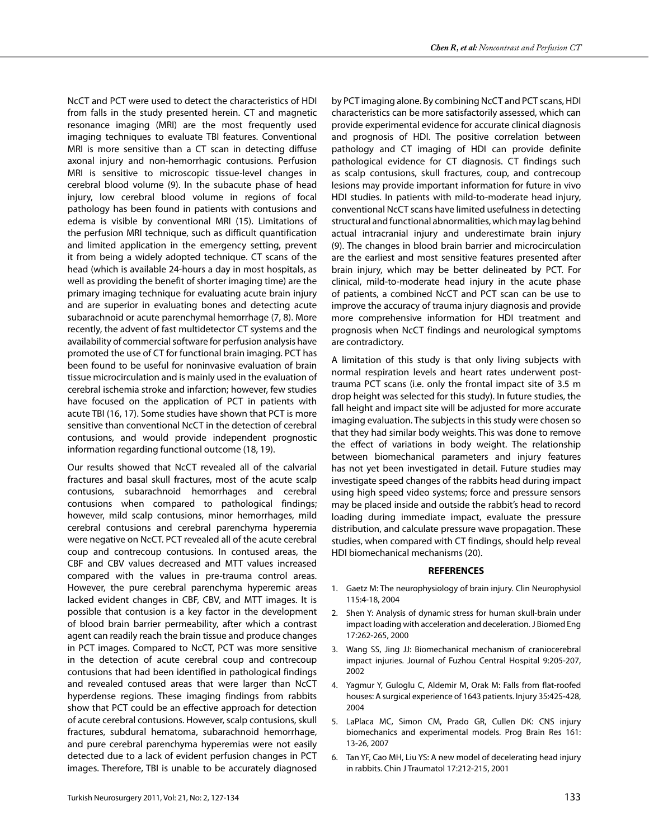NcCT and PCT were used to detect the characteristics of HDI from falls in the study presented herein. CT and magnetic resonance imaging (MRI) are the most frequently used imaging techniques to evaluate TBI features. Conventional MRI is more sensitive than a CT scan in detecting diffuse axonal injury and non-hemorrhagic contusions. Perfusion MRI is sensitive to microscopic tissue-level changes in cerebral blood volume (9). In the subacute phase of head injury, low cerebral blood volume in regions of focal pathology has been found in patients with contusions and edema is visible by conventional MRI (15). Limitations of the perfusion MRI technique, such as difficult quantification and limited application in the emergency setting, prevent it from being a widely adopted technique. CT scans of the head (which is available 24-hours a day in most hospitals, as well as providing the benefit of shorter imaging time) are the primary imaging technique for evaluating acute brain injury and are superior in evaluating bones and detecting acute subarachnoid or acute parenchymal hemorrhage (7, 8). More recently, the advent of fast multidetector CT systems and the availability of commercial software for perfusion analysis have promoted the use of CT for functional brain imaging. PCT has been found to be useful for noninvasive evaluation of brain tissue microcirculation and is mainly used in the evaluation of cerebral ischemia stroke and infarction; however, few studies have focused on the application of PCT in patients with acute TBI (16, 17). Some studies have shown that PCT is more sensitive than conventional NcCT in the detection of cerebral contusions, and would provide independent prognostic information regarding functional outcome (18, 19).

Our results showed that NcCT revealed all of the calvarial fractures and basal skull fractures, most of the acute scalp contusions, subarachnoid hemorrhages and cerebral contusions when compared to pathological findings; however, mild scalp contusions, minor hemorrhages, mild cerebral contusions and cerebral parenchyma hyperemia were negative on NcCT. PCT revealed all of the acute cerebral coup and contrecoup contusions. In contused areas, the CBF and CBV values decreased and MTT values increased compared with the values in pre-trauma control areas. However, the pure cerebral parenchyma hyperemic areas lacked evident changes in CBF, CBV, and MTT images. It is possible that contusion is a key factor in the development of blood brain barrier permeability, after which a contrast agent can readily reach the brain tissue and produce changes in PCT images. Compared to NcCT, PCT was more sensitive in the detection of acute cerebral coup and contrecoup contusions that had been identified in pathological findings and revealed contused areas that were larger than NcCT hyperdense regions. These imaging findings from rabbits show that PCT could be an effective approach for detection of acute cerebral contusions. However, scalp contusions, skull fractures, subdural hematoma, subarachnoid hemorrhage, and pure cerebral parenchyma hyperemias were not easily detected due to a lack of evident perfusion changes in PCT images. Therefore, TBI is unable to be accurately diagnosed by PCT imaging alone. By combining NcCT and PCT scans, HDI characteristics can be more satisfactorily assessed, which can provide experimental evidence for accurate clinical diagnosis and prognosis of HDI. The positive correlation between pathology and CT imaging of HDI can provide definite pathological evidence for CT diagnosis. CT findings such as scalp contusions, skull fractures, coup, and contrecoup lesions may provide important information for future in vivo HDI studies. In patients with mild-to-moderate head injury, conventional NcCT scans have limited usefulness in detecting structural and functional abnormalities, which may lag behind actual intracranial injury and underestimate brain injury (9). The changes in blood brain barrier and microcirculation are the earliest and most sensitive features presented after brain injury, which may be better delineated by PCT. For clinical, mild-to-moderate head injury in the acute phase of patients, a combined NcCT and PCT scan can be use to improve the accuracy of trauma injury diagnosis and provide more comprehensive information for HDI treatment and prognosis when NcCT findings and neurological symptoms are contradictory.

A limitation of this study is that only living subjects with normal respiration levels and heart rates underwent posttrauma PCT scans (i.e. only the frontal impact site of 3.5 m drop height was selected for this study). In future studies, the fall height and impact site will be adjusted for more accurate imaging evaluation. The subjects in this study were chosen so that they had similar body weights. This was done to remove the effect of variations in body weight. The relationship between biomechanical parameters and injury features has not yet been investigated in detail. Future studies may investigate speed changes of the rabbits head during impact using high speed video systems; force and pressure sensors may be placed inside and outside the rabbit's head to record loading during immediate impact, evaluate the pressure distribution, and calculate pressure wave propagation. These studies, when compared with CT findings, should help reveal HDI biomechanical mechanisms (20).

#### **REFERENCES**

- 1. Gaetz M: The neurophysiology of brain injury. Clin Neurophysiol 115:4-18, 2004
- 2. Shen Y: Analysis of dynamic stress for human skull-brain under impact loading with acceleration and deceleration. J Biomed Eng 17:262-265, 2000
- 3. Wang SS, Jing JJ: Biomechanical mechanism of craniocerebral impact injuries. Journal of Fuzhou Central Hospital 9:205-207, 2002
- 4. Yagmur Y, Guloglu C, Aldemir M, Orak M: Falls from flat-roofed houses: A surgical experience of 1643 patients. Injury 35:425-428, 2004
- 5. LaPlaca MC, Simon CM, Prado GR, Cullen DK: CNS injury biomechanics and experimental models. Prog Brain Res 161: 13-26, 2007
- 6. Tan YF, Cao MH, Liu YS: A new model of decelerating head injury in rabbits. Chin J Traumatol 17:212-215, 2001